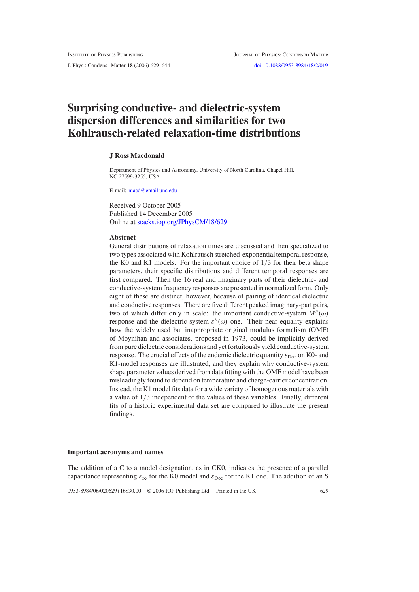J. Phys.: Condens. Matter **18** (2006) 629–644 [doi:10.1088/0953-8984/18/2/019](http://dx.doi.org/10.1088/0953-8984/18/2/019)

# **Surprising conductive- and dielectric-system dispersion differences and similarities for two Kohlrausch-related relaxation-time distributions**

## **J Ross Macdonald**

Department of Physics and Astronomy, University of North Carolina, Chapel Hill, NC 27599-3255, USA

E-mail: [macd@email.unc.edu](mailto:macd@email.unc.edu)

Received 9 October 2005 Published 14 December 2005 Online at [stacks.iop.org/JPhysCM/18/629](http://stacks.iop.org/JPhysCM/18/629)

#### **Abstract**

General distributions of relaxation times are discussed and then specialized to two types associated with Kohlrausch stretched-exponential temporal response, the K0 and K1 models. For the important choice of  $1/3$  for their beta shape parameters, their specific distributions and different temporal responses are first compared. Then the 16 real and imaginary parts of their dielectric- and conductive-system frequency responses are presented in normalized form. Only eight of these are distinct, however, because of pairing of identical dielectric and conductive responses. There are five different peaked imaginary-part pairs, two of which differ only in scale: the important conductive-system  $M''(\omega)$ response and the dielectric-system  $\varepsilon''(\omega)$  one. Their near equality explains how the widely used but inappropriate original modulus formalism (OMF) of Moynihan and associates, proposed in 1973, could be implicitly derived from pure dielectric considerations and yet fortuitously yield conductive-system response. The crucial effects of the endemic dielectric quantity  $\varepsilon_{D\infty}$  on K0- and K1-model responses are illustrated, and they explain why conductive-system shape parameter values derived from data fitting with the OMF model have been misleadingly found to depend on temperature and charge-carrier concentration. Instead, the K1 model fits data for a wide variety of homogenous materials with a value of 1/3 independent of the values of these variables. Finally, different fits of a historic experimental data set are compared to illustrate the present findings.

#### **Important acronyms and names**

The addition of a C to a model designation, as in CK0, indicates the presence of a parallel capacitance representing  $\varepsilon_{\infty}$  for the K0 model and  $\varepsilon_{\text{D}\infty}$  for the K1 one. The addition of an S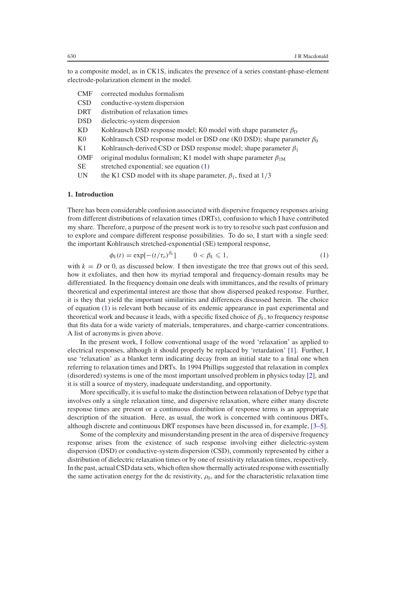to a composite model, as in CK1S, indicates the presence of a series constant-phase-element electrode-polarization element in the model.

| CMF    | corrected modulus formalism |
|--------|-----------------------------|
| $\cap$ |                             |

- CSD conductive-system dispersion DRT distribution of relaxation times
- DSD dielectric-system dispersion
- KD Kohlrausch DSD response model; K0 model with shape parameter  $\beta_D$
- K0 Kohlrausch CSD response model or DSD one (K0 DSD); shape parameter  $\beta_0$
- K1 Kohlrausch-derived CSD or DSD response model; shape parameter  $\beta_1$
- OMF original modulus formalism; K1 model with shape parameter  $\beta_{1M}$
- SE stretched exponential; see equation [\(1\)](#page-1-0)
- UN the K1 CSD model with its shape parameter,  $\beta_1$ , fixed at  $1/3$

## **1. Introduction**

<span id="page-1-0"></span>There has been considerable confusion associated with dispersive frequency responses arising from different distributions of relaxation times (DRTs), confusion to which I have contributed my share. Therefore, a purpose of the present work is to try to resolve such past confusion and to explore and compare different response possibilities. To do so, I start with a single seed: the important Kohlrausch stretched-exponential (SE) temporal response,

$$
\phi_k(t) = \exp[-(t/\tau_o)^{\beta_k}] \qquad 0 < \beta_k \leq 1,\tag{1}
$$

with  $k = D$  or 0, as discussed below. I then investigate the tree that grows out of this seed. how it exfoliates, and then how its myriad temporal and frequency-domain results may be differentiated. In the frequency domain one deals with immittances, and the results of primary theoretical and experimental interest are those that show dispersed peaked response. Further, it is they that yield the important similarities and differences discussed herein. The choice of equation [\(1\)](#page-1-0) is relevant both because of its endemic appearance in past experimental and theoretical work and because it leads, with a specific fixed choice of  $\beta_k$ , to frequency response that fits data for a wide variety of materials, temperatures, and charge-carrier concentrations. A list of acronyms is given above.

In the present work, I follow conventional usage of the word 'relaxation' as applied to electrical responses, although it should properly be replaced by 'retardation' [\[1\]](#page-15-0). Further, I use 'relaxation' as a blanket term indicating decay from an initial state to a final one when referring to relaxation times and DRTs. In 1994 Phillips suggested that relaxation in complex (disordered) systems is one of the most important unsolved problem in physics today [\[2\]](#page-15-1), and it is still a source of mystery, inadequate understanding, and opportunity.

More specifically, it is useful to make the distinction between relaxation of Debye type that involves only a single relaxation time, and dispersive relaxation, where either many discrete response times are present or a continuous distribution of response terms is an appropriate description of the situation. Here, as usual, the work is concerned with continuous DRTs, although discrete and continuous DRT responses have been discussed in, for example, [\[3–5\]](#page-15-2).

Some of the complexity and misunderstanding present in the area of dispersive frequency response arises from the existence of such response involving either dielectric-system dispersion (DSD) or conductive-system dispersion (CSD), commonly represented by either a distribution of dielectric relaxation times or by one of resistivity relaxation times, respectively. In the past, actual CSD data sets, which often show thermally activated response with essentially the same activation energy for the dc resistivity,  $\rho_0$ , and for the characteristic relaxation time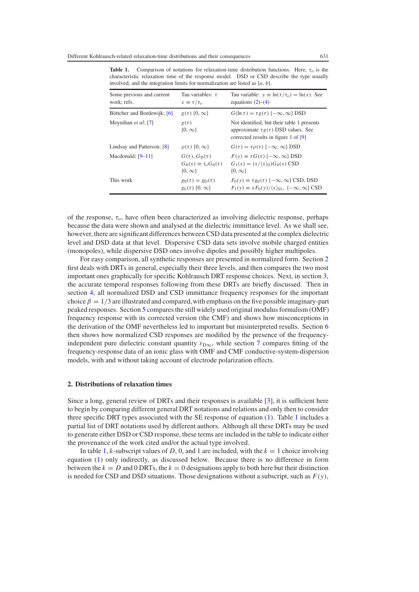| Some previous and current<br>work; refs. | Tau variables: $\tau$<br>$x \equiv \tau/\tau_o$                                         | Tau variable: $y \equiv \ln(\tau/\tau_o) = \ln(x)$ . See<br>equations $(2)$ – $(4)$                                                             |
|------------------------------------------|-----------------------------------------------------------------------------------------|-------------------------------------------------------------------------------------------------------------------------------------------------|
| Böttcher and Bordewijk; [6]              | $g(\tau)$ {0, $\infty$ }                                                                | $G(\ln \tau) = \tau g(\tau)$ { $-\infty, \infty$ } DSD                                                                                          |
| Moynihan et al; [7]                      | $g(\tau)$<br>$\{0, \infty\}$                                                            | Not identified, but their table 1 presents<br>approximate $\tau g(\tau)$ DSD values. See<br>corrected results in figure 1 of [9]                |
| Lindsay and Patterson; [8]               | $\rho(\tau)$ {0, $\infty$ }                                                             | $G(\tau) = \tau \rho(\tau)$ { $-\infty$ , $\infty$ } DSD                                                                                        |
| Macdonald; $[9-11]$                      | $G(\tau)$ , $G_{\text{D}}(\tau)$<br>$G_0(x) \equiv \tau_o G_0(\tau)$<br>$\{0, \infty\}$ | $F(v) \equiv \tau G(\tau)$ { $-\infty$ , $\infty$ } DSD<br>$G_1(x) = (x/\langle x \rangle_0) G_0(x)$ CSD<br>$\{0, \infty\}$                     |
| This work                                | $g_0(\tau) = g_D(\tau)$<br>$g_k(\tau)$ {0, $\infty$ }                                   | $F_0(y) \equiv \tau g_0(\tau)$ { $-\infty$ , $\infty$ } CSD, DSD<br>$F_1(y) \equiv x F_0(y)/\langle x \rangle_{01}$ , $\{-\infty, \infty\}$ CSD |

<span id="page-2-1"></span>**Table 1.** Comparison of notations for relaxation-time distribution functions. Here, τ*<sup>o</sup>* is the characteristic relaxation time of the response model. DSD or CSD describe the type usually involved, and the integration limits for normalization are listed as {*a*, *b*}.

of the response,  $\tau_o$ , have often been characterized as involving dielectric response, perhaps because the data were shown and analysed at the dielectric immittance level. As we shall see, however, there are significant differences between CSD data presented at the complex dielectric level and DSD data at that level. Dispersive CSD data sets involve mobile charged entities (monopoles), while dispersive DSD ones involve dipoles and possibly higher multipoles.

For easy comparison, all synthetic responses are presented in normalized form. Section [2](#page-2-0) first deals with DRTs in general, especially their three levels, and then compares the two most important ones graphically for specific Kohlrausch DRT response choices. Next, in section [3,](#page-4-0) the accurate temporal responses following from these DRTs are briefly discussed. Then in section [4,](#page-4-1) all normalized DSD and CSD immittance frequency responses for the important choice  $\beta = 1/3$  are illustrated and compared, with emphasis on the five possible imaginary-part peaked responses. Section [5](#page-8-0) compares the still widely used original modulus formalism (OMF) frequency response with its corrected version (the CMF) and shows how misconceptions in the derivation of the OMF nevertheless led to important but misinterpreted results. Section [6](#page-10-0) then shows how normalized CSD responses are modified by the presence of the frequencyindependent pure dielectric constant quantity  $\varepsilon_{D\infty}$ , while section [7](#page-13-0) compares fitting of the frequency-response data of an ionic glass with OMF and CMF conductive-system-dispersion models, with and without taking account of electrode polarization effects.

## <span id="page-2-0"></span>**2. Distributions of relaxation times**

Since a long, general review of DRTs and their responses is available [\[3\]](#page-15-2), it is sufficient here to begin by comparing different general DRT notations and relations and only then to consider three specific DRT types associated with the SE response of equation [\(1\)](#page-1-0). Table [1](#page-2-1) includes a partial list of DRT notations used by different authors. Although all these DRTs may be used to generate either DSD or CSD response, these terms are included in the table to indicate either the provenance of the work cited and/or the actual type involved.

In table [1,](#page-2-1) *k*-subscript values of *D*, 0, and 1 are included, with the  $k = 1$  choice involving equation [\(1\)](#page-1-0) only indirectly, as discussed below. Because there is no difference in form between the  $k = D$  and 0 DRTs, the  $k = 0$  designations apply to both here but their distinction is needed for CSD and DSD situations. Those designations without a subscript, such as  $F(y)$ ,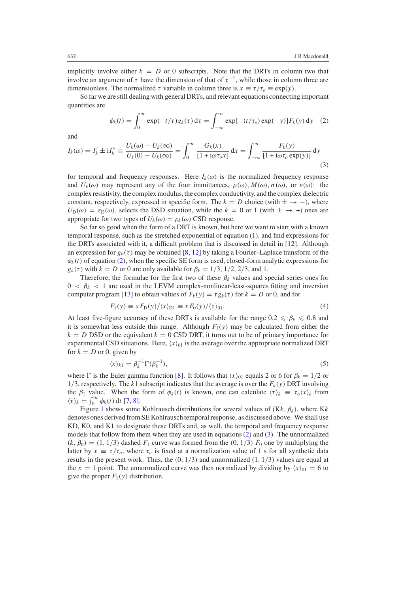<span id="page-3-0"></span>implicitly involve either  $k = D$  or 0 subscripts. Note that the DRTs in column two that involve an argument of  $\tau$  have the dimension of that of  $\tau^{-1}$ , while those in column three are dimensionless. The normalized  $\tau$  variable in column three is  $x \equiv \tau/\tau_o \equiv \exp(y)$ .

<span id="page-3-2"></span>So far we are still dealing with general DRTs, and relevant equations connecting important quantities are

$$
\phi_k(t) = \int_0^\infty \exp(-t/\tau) g_k(\tau) d\tau = \int_{-\infty}^\infty \exp[-(t/\tau_o) \exp(-y)] F_k(y) dy \quad (2)
$$

and

$$
I_k(\omega) = I'_k \pm iI''_k \equiv \frac{U_k(\omega) - U_k(\infty)}{U_k(0) - U_k(\infty)} = \int_0^\infty \frac{G_k(x)}{[1 + i\omega\tau_o x]} dx = \int_{-\infty}^\infty \frac{F_k(y)}{[1 + i\omega\tau_o \exp(y)]} dy
$$
\n(3)

for temporal and frequency responses. Here  $I_k(\omega)$  is the normalized frequency response and  $U_k(\omega)$  may represent any of the four immittances,  $\rho(\omega)$ ,  $M(\omega)$ ,  $\sigma(\omega)$ , or  $\varepsilon(\omega)$ : the complex resistivity, the complex modulus,the complex conductivity,and the complex dielectric constant, respectively, expressed in specific form. The  $k = D$  choice (with  $\pm \rightarrow -$ ), where  $U_{\text{D}}(\omega) = \varepsilon_{\text{D}}(\omega)$ , selects the DSD situation, while the  $k = 0$  or 1 (with  $\pm \rightarrow +$ ) ones are appropriate for two types of  $U_k(\omega) = \rho_k(\omega)$  CSD response.

So far so good when the form of a DRT is known, but here we want to start with a known temporal response, such as the stretched exponential of equation [\(1\)](#page-1-0), and find expressions for the DRTs associated with it, a difficult problem that is discussed in detail in [\[12\]](#page-15-7). Although an expression for  $g_k(\tau)$  may be obtained [\[8,](#page-15-6) [12\]](#page-15-7) by taking a Fourier–Laplace transform of the  $\phi_k(t)$  of equation [\(2\)](#page-3-0), when the specific SE form is used, closed-form analytic expressions for  $g_k(\tau)$  with  $k = D$  or 0 are only available for  $\beta_k = 1/3, 1/2, 2/3$ , and 1.

<span id="page-3-1"></span>Therefore, the formulae for the first two of these  $\beta_k$  values and special series ones for  $0 < \beta_k < 1$  are used in the LEVM complex-nonlinear-least-squares fitting and inversion computer program [\[13\]](#page-15-8) to obtain values of  $F_k(y) = \tau g_k(\tau)$  for  $k = D$  or 0, and for

$$
F_1(y) \equiv x F_D(y) / \langle x \rangle_{D1} \equiv x F_0(y) / \langle x \rangle_{01}.
$$
 (4)

<span id="page-3-3"></span>At least five-figure accuracy of these DRTs is available for the range  $0.2 \le \beta_k \le 0.8$  and it is somewhat less outside this range. Although  $F_1(y)$  may be calculated from either the  $k = D$  DSD or the equivalent  $k = 0$  CSD DRT, it turns out to be of primary importance for experimental CSD situations. Here,  $\langle x \rangle_{k1}$  is the average over the appropriate normalized DRT for  $k = D$  or 0, given by

$$
\langle x \rangle_{k1} = \beta_k^{-1} \Gamma(\beta_k^{-1}),\tag{5}
$$

where  $\Gamma$  is the Euler gamma function [\[8\]](#page-15-6). It follows that  $\langle x \rangle_{01}$  equals 2 or 6 for  $\beta_k = 1/2$  or 1/3, respectively. The  $k1$  subscript indicates that the average is over the  $F_k(y)$  DRT involving the  $\beta_1$  value. When the form of  $\phi_k(t)$  is known, one can calculate  $\langle \tau \rangle_k \equiv \tau_o \langle x \rangle_k$  from  $\langle \tau \rangle_k = \int_0^\infty \phi_k(t) \, dt$  [\[7,](#page-15-4) [8\]](#page-15-6).

Figure [1](#page-4-2) shows some Kohlrausch distributions for several values of  $(Kk, \beta_k)$ , where Kk denotes ones derived from SE Kohlrausch temporal response, as discussed above. We shall use KD, K0, and K1 to designate these DRTs and, as well, the temporal and frequency response models that follow from them when they are used in equations [\(2\)](#page-3-0) and [\(3\)](#page-3-2). The unnormalized  $(k, \beta_0) = (1, 1/3)$  dashed  $F_1$  curve was formed from the  $(0, 1/3)$   $F_0$  one by multiplying the latter by  $x \equiv \tau/\tau_o$ , where  $\tau_o$  is fixed at a normalization value of 1 s for all synthetic data results in the present work. Thus, the  $(0, 1/3)$  and unnormalized  $(1, 1/3)$  values are equal at the  $x = 1$  point. The unnormalized curve was then normalized by dividing by  $\langle x \rangle_{01} = 6$  to give the proper  $F_1(y)$  distribution.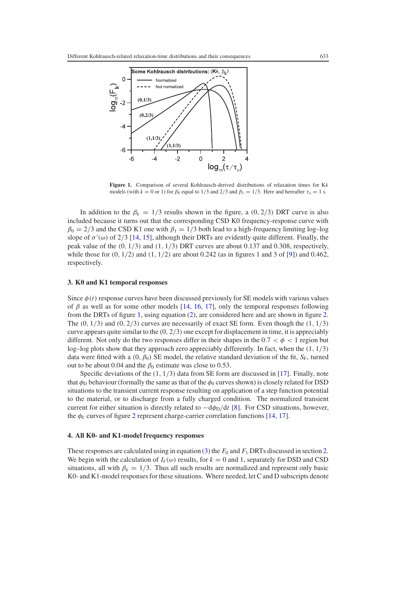<span id="page-4-2"></span>

**Figure 1.** Comparison of several Kohlrausch-derived distributions of relaxation times for K*k* models (with  $k = 0$  or 1) for  $\beta_0$  equal to 1/3 and 2/3 and  $\beta_1 = 1/3$ . Here and hereafter  $\tau_o = 1$  s.

<span id="page-4-0"></span>In addition to the  $\beta_k = 1/3$  results shown in the figure, a (0, 2/3) DRT curve is also included because it turns out that the corresponding CSD K0 frequency-response curve with  $\beta_0 = 2/3$  and the CSD K1 one with  $\beta_1 = 1/3$  both lead to a high-frequency limiting log-log slope of  $\sigma'(\omega)$  of 2/3 [\[14,](#page-15-9) [15\]](#page-15-10), although their DRTs are evidently quite different. Finally, the peak value of the  $(0, 1/3)$  and  $(1, 1/3)$  DRT curves are about 0.137 and 0.308, respectively, while those for  $(0, 1/2)$  and  $(1, 1/2)$  are about 0.242 (as in figures 1 and 3 of [\[9\]](#page-15-5)) and 0.462, respectively.

## **3. K0 and K1 temporal responses**

Since  $\phi(t)$  response curves have been discussed previously for SE models with various values of  $\beta$  as well as for some other models [\[14,](#page-15-9) [16,](#page-15-11) [17\]](#page-15-12), only the temporal responses following from the DRTs of figure [1,](#page-4-2) using equation [\(2\)](#page-3-0), are considered here and are shown in figure [2.](#page-5-0) The  $(0, 1/3)$  and  $(0, 2/3)$  curves are necessarily of exact SE form. Even though the  $(1, 1/3)$ curve appears quite similar to the  $(0, 2/3)$  one except for displacement in time, it is appreciably different. Not only do the two responses differ in their shapes in the  $0.7 < \phi < 1$  region but log–log plots show that they approach zero appreciably differently. In fact, when the  $(1, 1/3)$ data were fitted with a  $(0, \beta_0)$  SE model, the relative standard deviation of the fit,  $S_F$ , turned out to be about 0.04 and the  $\beta_0$  estimate was close to 0.53.

<span id="page-4-1"></span>Specific deviations of the  $(1, 1/3)$  data from SE form are discussed in [\[17\]](#page-15-12). Finally, note that  $\phi_D$  behaviour (formally the same as that of the  $\phi_0$  curves shown) is closely related for DSD situations to the transient current response resulting on application of a step function potential to the material, or to discharge from a fully charged condition. The normalized transient current for either situation is directly related to  $-d\phi_D/dt$  [\[8\]](#page-15-6). For CSD situations, however, the  $\phi_k$  curves of figure [2](#page-5-0) represent charge-carrier correlation functions [\[14,](#page-15-9) [17\]](#page-15-12).

## **4. All K0- and K1-model frequency responses**

These responses are calculated using in equation [\(3\)](#page-3-2) the  $F_0$  and  $F_1$  DRTs discussed in section [2.](#page-2-0) We begin with the calculation of  $I_k(\omega)$  results, for  $k = 0$  and 1, separately for DSD and CSD situations, all with  $\beta_k = 1/3$ . Thus all such results are normalized and represent only basic K0- and K1-model responses for these situations. Where needed, let C and D subscripts denote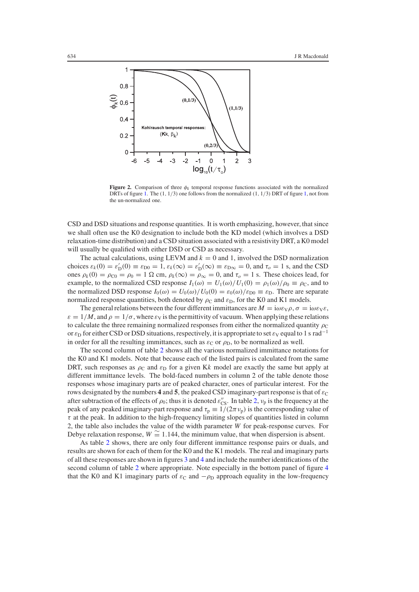<span id="page-5-0"></span>

**Figure 2.** Comparison of three  $\phi_k$  temporal response functions associated with the normalized DRTs of figure [1.](#page-4-2) The  $(1, 1/3)$  $(1, 1/3)$  $(1, 1/3)$  one follows from the normalized  $(1, 1/3)$  DRT of figure 1, not from the un-normalized one.

CSD and DSD situations and response quantities. It is worth emphasizing, however, that since we shall often use the K0 designation to include both the KD model (which involves a DSD relaxation-time distribution) and a CSD situation associated with a resistivity DRT, a K0 model will usually be qualified with either DSD or CSD as necessary.

The actual calculations, using LEVM and  $k = 0$  and 1, involved the DSD normalization choices  $\varepsilon_k(0) = \varepsilon'_D(0) \equiv \varepsilon_{D0} = 1$ ,  $\varepsilon_k(\infty) = \varepsilon'_D(\infty) \equiv \varepsilon_{D\infty} = 0$ , and  $\tau_o = 1$  s, and the CSD ones  $\rho_k(0) = \rho_{00} = \rho_0 = 1 \Omega$  cm,  $\rho_k(\infty) = \rho_\infty = 0$ , and  $\tau_o = 1$  s. These choices lead, for example, to the normalized CSD response  $I_1(\omega) = U_1(\omega)/U_1(0) = \rho_1(\omega)/\rho_0 \equiv \rho_C$ , and to the normalized DSD response  $I_0(\omega) = U_0(\omega)/U_0(0) = \varepsilon_0(\omega)/\varepsilon_{D0} \equiv \varepsilon_D$ . There are separate normalized response quantities, both denoted by  $\rho_C$  and  $\varepsilon_D$ , for the K0 and K1 models.

The general relations between the four different immittances are  $M = i\omega \varepsilon \sqrt{\rho}$ ,  $\sigma = i\omega \varepsilon \sqrt{\varepsilon}$ ,  $\varepsilon = 1/M$ , and  $\rho = 1/\sigma$ , where  $\varepsilon_V$  is the permittivity of vacuum. When applying these relations to calculate the three remaining normalized responses from either the normalized quantity  $\rho_C$ or  $\varepsilon_D$  for either CSD or DSD situations, respectively, it is appropriate to set  $\varepsilon_V$  equal to 1 s rad<sup>-1</sup> in order for all the resulting immittances, such as  $\varepsilon_C$  or  $\rho_D$ , to be normalized as well.

The second column of table [2](#page-6-0) shows all the various normalized immittance notations for the K0 and K1 models. Note that because each of the listed pairs is calculated from the same DRT, such responses as  $\rho_c$  and  $\varepsilon_D$  for a given Kk model are exactly the same but apply at different immittance levels. The bold-faced numbers in column 2 of the table denote those responses whose imaginary parts are of peaked character, ones of particular interest. For the rows designated by the numbers **4** and **5**, the peaked CSD imaginary-part response is that of  $\varepsilon_c$ after subtraction of the effects of  $\rho_0$ ; thus it is denoted  $\varepsilon''_{\rm CS}$ . In table [2,](#page-6-0)  $v_p$  is the frequency at the peak of any peaked imaginary-part response and  $\tau_p \equiv 1/(2\pi \nu_p)$  is the corresponding value of  $\tau$  at the peak. In addition to the high-frequency limiting slopes of quantities listed in column 2, the table also includes the value of the width parameter *W* for peak-response curves. For Debye relaxation response,  $W \cong 1.144$ , the minimum value, that when dispersion is absent.

As table [2](#page-6-0) shows, there are only four different immittance response pairs or duals, and results are shown for each of them for the K0 and the K1 models. The real and imaginary parts of all these responses are shown in figures [3](#page-6-1) and [4](#page-7-0) and include the number identifications of the second column of table [2](#page-6-0) where appropriate. Note especially in the bottom panel of figure [4](#page-7-0) that the K0 and K1 imaginary parts of  $\varepsilon_{\text{C}}$  and  $-\rho_{\text{D}}$  approach equality in the low-frequency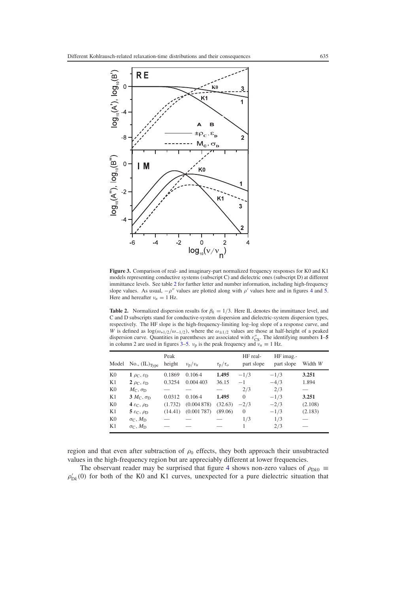<span id="page-6-1"></span>

<span id="page-6-0"></span>**Figure 3.** Comparison of real- and imaginary-part normalized frequency responses for K0 and K1 models representing conductive systems (subscript C) and dielectric ones (subscript D) at different immittance levels. See table [2](#page-6-0) for further letter and number information, including high-frequency slope values. As usual,  $-\rho''$  values are plotted along with  $\rho'$  values here and in figures [4](#page-7-0) and [5.](#page-8-1) Here and hereafter  $v_n = 1$  Hz.

**Table 2.** Normalized dispersion results for  $\beta_k = 1/3$ . Here IL denotes the immittance level, and C and D subscripts stand for conductive-system dispersion and dielectric-system dispersion types, respectively. The HF slope is the high-frequency-limiting log–log slope of a response curve, and *W* is defined as  $\log(\omega_{+1/2}/\omega_{-1/2})$ , where the  $\omega_{\pm 1/2}$  values are those at half-height of a peaked dispersion curve. Quantities in parentheses are associated with  $\varepsilon_{\text{CS}}^{"}$ . The identifying numbers 1-5 in column 2 are used in figures  $3-5$ .  $v_p$  is the peak frequency and  $v_n \equiv 1$  Hz.

| Model          | No., $(\mathrm{IL})_{\text{Type}}$                 | Peak<br>height | $\nu_{\rm p}/\nu_{\rm n}$ | $\tau_{\rm p}/\tau_o$ | HF real-<br>part slope | HF imag.-<br>part slope | Width W |
|----------------|----------------------------------------------------|----------------|---------------------------|-----------------------|------------------------|-------------------------|---------|
| K <sub>0</sub> | 1 $\rho$ <sub>C</sub> , $\varepsilon$ <sub>D</sub> | 0.1869         | 0.1064                    | 1.495                 | $-1/3$                 | $-1/3$                  | 3.251   |
| K1             | $2\rho_{\rm C}, \varepsilon_{\rm D}$               | 0.3254         | 0.004 403                 | 36.15                 | $-1$                   | $-4/3$                  | 1.894   |
| K <sub>0</sub> | $M_{\rm C}, \sigma_{\rm D}$                        |                |                           |                       | 2/3                    | 2/3                     |         |
| K1             | $3 MC$ , $\sigmaD$                                 | 0.0312         | 0.1064                    | 1.495                 | $\Omega$               | $-1/3$                  | 3.251   |
| K <sub>0</sub> | 4 $\varepsilon_{\rm C}, \rho_{\rm D}$              | (1.732)        | (0.004878)                | (32.63)               | $-2/3$                 | $-2/3$                  | (2.108) |
| K1             | $5 \varepsilon_{\rm C}, \rho_{\rm D}$              | (14.41)        | (0.001787)                | (89.06)               | $\theta$               | $-1/3$                  | (2.183) |
| K <sub>0</sub> | $\sigma_{\rm C}, M_{\rm D}$                        |                |                           |                       | 1/3                    | 1/3                     |         |
| K1             | $\sigma_C$ , $M_D$                                 |                |                           |                       |                        | 2/3                     |         |

region and that even after subtraction of  $\rho_0$  effects, they both approach their unsubtracted values in the high-frequency region but are appreciably different at lower frequencies.

The observant reader may be surprised that figure [4](#page-7-0) shows non-zero values of  $\rho_{Dk0} \equiv$  $\rho'_{Dk}(0)$  for both of the K0 and K1 curves, unexpected for a pure dielectric situation that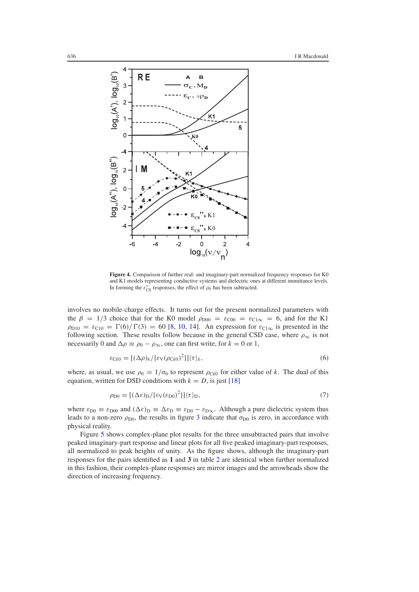<span id="page-7-0"></span>

**Figure 4.** Comparison of further real- and imaginary-part normalized frequency responses for K0 and K1 models representing conductive systems and dielectric ones at different immittance levels. In forming the  $\varepsilon''_{\text{CS}}$  responses, the effect of  $\rho_0$  has been subtracted.

involves no mobile-charge effects. It turns out for the present normalized parameters with the  $\beta = 1/3$  choice that for the K0 model  $\rho_{D00} = \varepsilon_{C00} = \varepsilon_{C1\infty} = 6$ , and for the K1  $\rho_{D10} = \varepsilon_{C10} = \Gamma(6)/\Gamma(3) = 60$  [\[8,](#page-15-6) [10,](#page-15-13) [14\]](#page-15-9). An expression for  $\varepsilon_{C1\infty}$  is presented in the following section. These results follow because in the general CSD case, where  $\rho_{\infty}$  is not necessarily 0 and  $\Delta \rho \equiv \rho_0 - \rho_\infty$ , one can first write, for  $k = 0$  or 1,

$$
\varepsilon_{\text{C}k0} = [(\Delta \rho)_k / {\{\varepsilon_{\text{V}}(\rho_{\text{C}k0})^2\}}] \langle \tau \rangle_k,\tag{6}
$$

where, as usual, we use  $\rho_0 = 1/\sigma_0$  to represent  $\rho_{Ck0}$  for either value of *k*. The dual of this equation, written for DSD conditions with  $k = D$ , is just [\[18\]](#page-15-14)

$$
\rho_{\rm D0} = [(\Delta \varepsilon)_{\rm D} / {\{\varepsilon_{\rm V}(\varepsilon_{\rm D0})}^2\}] \langle \tau \rangle_{\rm D},\tag{7}
$$

where  $\varepsilon_{D0} \equiv \varepsilon_{D00}$  and  $(\Delta \varepsilon)_{D} \equiv \Delta \varepsilon_{D} \equiv \varepsilon_{D0} - \varepsilon_{D\infty}$ . Although a pure dielectric system thus leads to a non-zero  $\rho_{D0}$ , the results in figure [3](#page-6-1) indicate that  $\sigma_{D0}$  is zero, in accordance with physical reality.

Figure [5](#page-8-1) shows complex-plane plot results for the three unsubtracted pairs that involve peaked imaginary-part response and linear plots for all five peaked imaginary-part responses, all normalized to peak heights of unity. As the figure shows, although the imaginary-part responses for the pairs identified as **1** and **3** in table [2](#page-6-0) are identical when further normalized in this fashion, their complex-plane responses are mirror images and the arrowheads show the direction of increasing frequency.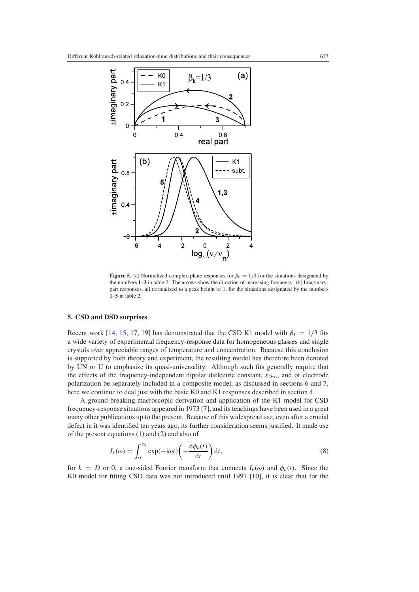<span id="page-8-1"></span>

**Figure 5.** (a) Normalized complex-plane responses for  $\beta_k = 1/3$  for the situations designated by the numbers **1**–**3** in table [2.](#page-6-0) The arrows show the direction of increasing frequency. (b) Imaginarypart responses, all normalized to a peak height of 1, for the situations designated by the numbers **1**–**5** in table [2.](#page-6-0)

#### <span id="page-8-0"></span>**5. CSD and DSD surprises**

Recent work [\[14,](#page-15-9) [15,](#page-15-10) [17,](#page-15-12) [19\]](#page-15-15) has demonstrated that the CSD K1 model with  $\beta_1 = 1/3$  fits a wide variety of experimental frequency-response data for homogeneous glasses and single crystals over appreciable ranges of temperature and concentration. Because this conclusion is supported by both theory and experiment, the resulting model has therefore been denoted by UN or U to emphasize its quasi-universality. Although such fits generally require that the effects of the frequency-independent dipolar dielectric constant,  $\varepsilon_{D\infty}$ , and of electrode polarization be separately included in a composite model, as discussed in sections [6](#page-10-0) and [7,](#page-13-0) here we continue to deal just with the basic K0 and K1 responses described in section [4.](#page-4-1)

<span id="page-8-2"></span>A ground-breaking macroscopic derivation and application of the K1 model for CSD frequency-response situations appeared in 1973 [\[7\]](#page-15-4), and its teachings have been used in a great many other publications up to the present. Because of this widespread use, even after a crucial defect in it was identified ten years ago, its further consideration seems justified. It made use of the present equations [\(1\)](#page-1-0) and [\(2\)](#page-3-0) and also of

$$
I_k(\omega) = \int_0^\infty \exp(-i\omega t) \left(-\frac{d\phi_k(t)}{dt}\right) dt,\tag{8}
$$

for  $k = D$  or 0, a one-sided Fourier transform that connects  $I_k(\omega)$  and  $\phi_k(t)$ . Since the K0 model for fitting CSD data was not introduced until 1997 [\[10\]](#page-15-13), it is clear that for the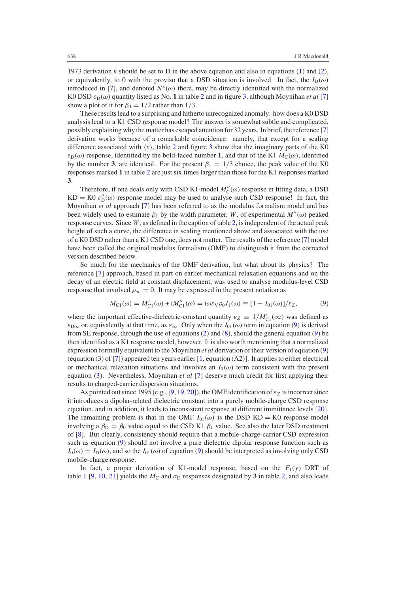1973 derivation *k* should be set to D in the above equation and also in equations [\(1\)](#page-1-0) and [\(2\)](#page-3-0), or equivalently, to 0 with the proviso that a DSD situation is involved. In fact, the  $I_D(\omega)$ introduced in [\[7\]](#page-15-4), and denoted  $N<sup>*</sup>(\omega)$  there, may be directly identified with the normalized K0 DSD  $\varepsilon_D(\omega)$  quantity listed as No. 1 in table [2](#page-6-0) and in figure [3,](#page-6-1) although Moynihan *et al* [\[7\]](#page-15-4) show a plot of it for  $\beta_0 = 1/2$  rather than 1/3.

These results lead to a surprising and hitherto unrecognized anomaly: how does a K0 DSD analysis lead to a K1 CSD response model? The answer is somewhat subtle and complicated, possibly explaining why the matter has escaped attention for 32 years. In brief, the reference [\[7\]](#page-15-4) derivation works because of a remarkable coincidence: namely, that except for a scaling difference associated with  $\langle x \rangle$ , table [2](#page-6-0) and figure [3](#page-6-1) show that the imaginary parts of the K0  $\varepsilon_{\text{D}}(\omega)$  response, identified by the bold-faced number 1, and that of the K1  $M_{\text{C}}(\omega)$ , identified by the number **3**, are identical. For the present  $\beta_1 = 1/3$  choice, the peak value of the K0 responses marked **1** in table [2](#page-6-0) are just six times larger than those for the K1 responses marked **3**.

Therefore, if one deals only with CSD K1-model  $M''_C(\omega)$  response in fitting data, a DSD  $KD = KO \varepsilon''_D(\omega)$  response model may be used to analyse such CSD response! In fact, the Moynihan *et al* approach [\[7\]](#page-15-4) has been referred to as the modulus formalism model and has been widely used to estimate  $\beta_1$  by the width parameter, *W*, of experimental  $M''(\omega)$  peaked response curves. Since *W*, as defined in the caption of table [2,](#page-6-0) is independent of the actual peak height of such a curve, the difference in scaling mentioned above and associated with the use of a K0 DSD rather than a K1 CSD one, does not matter. The results of the reference [\[7\]](#page-15-4) model have been called the original modulus formalism (OMF) to distinguish it from the corrected version described below.

<span id="page-9-0"></span>So much for the mechanics of the OMF derivation, but what about its physics? The reference [\[7\]](#page-15-4) approach, based in part on earlier mechanical relaxation equations and on the decay of an electric field at constant displacement, was used to analyse modulus-level CSD response that involved  $\rho_{\infty} = 0$ . It may be expressed in the present notation as

$$
M_{\text{C1}}(\omega) = M'_{\text{C1}}(\omega) + iM''_{\text{C1}}(\omega) = i\omega\varepsilon_{\text{V}}\rho_0 I_1(\omega) \equiv [1 - I_{01}(\omega)]/\varepsilon_{Z},\tag{9}
$$

where the important effective-dielectric-constant quantity  $\varepsilon_Z \equiv 1/M'_{\rm Cl}(\infty)$  was defined as  $\varepsilon_{\text{D}\infty}$  or, equivalently at that time, as  $\varepsilon_{\infty}$ . Only when the  $I_{01}(\omega)$  term in equation [\(9\)](#page-9-0) is derived from SE response, through the use of equations [\(2\)](#page-3-0) and [\(8\)](#page-8-2), should the general equation [\(9\)](#page-9-0) be then identified as a K1 response model, however. It is also worth mentioning that a normalized expression formally equivalent to the Moynihan *et al* derivation of their version of equation [\(9\)](#page-9-0) (equation (3) of [\[7\]](#page-15-4)) appeared ten years earlier [\[1,](#page-15-0) equation  $(A2)$ ]. It applies to either electrical or mechanical relaxation situations and involves an  $I_0(\omega)$  term consistent with the present equation [\(3\)](#page-3-2). Nevertheless, Moynihan *et al* [\[7\]](#page-15-4) deserve much credit for first applying their results to charged-carrier dispersion situations.

As pointed out since 1995 (e.g., [\[9,](#page-15-5) [19,](#page-15-15) [20\]](#page-15-16)), the OMF identification of  $\varepsilon_Z$  is incorrect since it introduces a dipolar-related dielectric constant into a purely mobile-charge CSD response equation, and in addition, it leads to inconsistent response at different immittance levels [\[20\]](#page-15-16). The remaining problem is that in the OMF  $I_{01}(\omega)$  is the DSD KD = K0 response model involving a  $\beta_{\rm D} = \beta_0$  value equal to the CSD K1  $\beta_1$  value. See also the later DSD treatment of [\[8\]](#page-15-6). But clearly, consistency should require that a mobile-charge-carrier CSD expression such as equation [\(9\)](#page-9-0) should not involve a pure dielectric dipolar response function such as  $I_0(\omega) = I_D(\omega)$ , and so the  $I_{01}(\omega)$  of equation [\(9\)](#page-9-0) should be interpreted as involving only CSD mobile-charge response.

In fact, a proper derivation of K1-model response, based on the  $F_1(y)$  DRT of table [1](#page-2-1) [\[9,](#page-15-5) [10,](#page-15-13) [21\]](#page-15-17) yields the  $M_C$  and  $\sigma_D$  responses designated by 3 in table [2,](#page-6-0) and also leads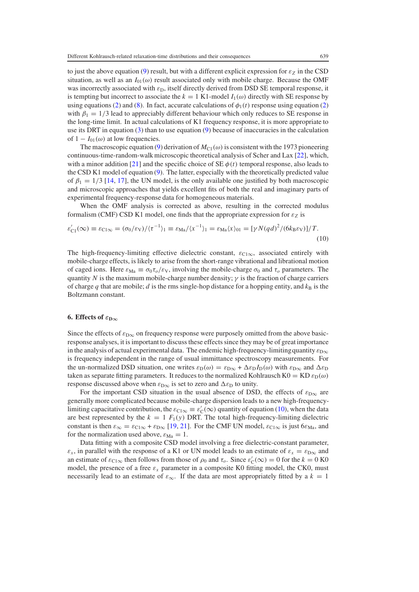to just the above equation [\(9\)](#page-9-0) result, but with a different explicit expression for  $\varepsilon_Z$  in the CSD situation, as well as an  $I_{01}(\omega)$  result associated only with mobile charge. Because the OMF was incorrectly associated with  $\varepsilon_D$ , itself directly derived from DSD SE temporal response, it is tempting but incorrect to associate the  $k = 1$  K1-model  $I_1(\omega)$  directly with SE response by using equations [\(2\)](#page-3-0) and [\(8\)](#page-8-2). In fact, accurate calculations of  $\phi_1(t)$  response using equation (2) with  $\beta_1 = 1/3$  lead to appreciably different behaviour which only reduces to SE response in the long-time limit. In actual calculations of K1 frequency response, it is more appropriate to use its DRT in equation [\(3\)](#page-3-2) than to use equation [\(9\)](#page-9-0) because of inaccuracies in the calculation of  $1 - I_{01}(\omega)$  at low frequencies.

The macroscopic equation [\(9\)](#page-9-0) derivation of  $M_{C1}(\omega)$  is consistent with the 1973 pioneering continuous-time-random-walk microscopic theoretical analysis of Scher and Lax [\[22\]](#page-15-18), which, with a minor addition [\[21\]](#page-15-17) and the specific choice of  $SE \phi(t)$  temporal response, also leads to the CSD K1 model of equation [\(9\)](#page-9-0). The latter, especially with the theoretically predicted value of  $\beta_1 = 1/3$  [\[14,](#page-15-9) [17\]](#page-15-12), the UN model, is the only available one justified by both macroscopic and microscopic approaches that yields excellent fits of both the real and imaginary parts of experimental frequency-response data for homogeneous materials.

<span id="page-10-1"></span>When the OMF analysis is corrected as above, resulting in the corrected modulus formalism (CMF) CSD K1 model, one finds that the appropriate expression for  $\varepsilon_Z$  is

$$
\varepsilon'_{\rm Cl}(\infty) \equiv \varepsilon_{\rm Cl\infty} = (\sigma_0/\varepsilon_{\rm V})/\langle \tau^{-1} \rangle_1 \equiv \varepsilon_{\rm Ma}/\langle x^{-1} \rangle_1 = \varepsilon_{\rm Ma} \langle x \rangle_{01} = [\gamma N(qd)^2/(6k_{\rm B}\varepsilon_{\rm V})]/T.
$$
\n(10)

<span id="page-10-0"></span>The high-frequency-limiting effective dielectric constant,  $\varepsilon_{C1\infty}$ , associated entirely with mobile-charge effects, is likely to arise from the short-range vibrational and librational motion of caged ions. Here  $\varepsilon_{\text{Ma}} \equiv \sigma_0 \tau_o / \varepsilon_v$ , involving the mobile-charge  $\sigma_0$  and  $\tau_o$  parameters. The quantity *N* is the maximum mobile-charge number density;  $\gamma$  is the fraction of charge carriers of charge  $q$  that are mobile;  $d$  is the rms single-hop distance for a hopping entity, and  $k<sub>B</sub>$  is the Boltzmann constant.

## **6.** Effects of  $\varepsilon_{D\infty}$

Since the effects of  $\varepsilon_{\text{D}\infty}$  on frequency response were purposely omitted from the above basicresponse analyses, it is important to discuss these effects since they may be of great importance in the analysis of actual experimental data. The endemic high-frequency-limiting quantity  $\varepsilon_{\text{D}\infty}$ is frequency independent in the range of usual immittance spectroscopy measurements. For the un-normalized DSD situation, one writes  $\varepsilon_D(\omega) = \varepsilon_{D\infty} + \Delta \varepsilon_D I_D(\omega)$  with  $\varepsilon_{D\infty}$  and  $\Delta \varepsilon_D$ taken as separate fitting parameters. It reduces to the normalized Kohlrausch K0 = KD  $\varepsilon_{\text{D}}(\omega)$ response discussed above when  $\varepsilon_{D\infty}$  is set to zero and  $\Delta \varepsilon_D$  to unity.

For the important CSD situation in the usual absence of DSD, the effects of  $\varepsilon_{\text{D}\infty}$  are generally more complicated because mobile-charge dispersion leads to a new high-frequencylimiting capacitative contribution, the  $\varepsilon_{C1\infty} \equiv \varepsilon'_C(\infty)$  quantity of equation [\(10\)](#page-10-1), when the data are best represented by the  $k = 1$   $F_1(y)$  DRT. The total high-frequency-limiting dielectric constant is then  $\varepsilon_{\infty} = \varepsilon_{C1\infty} + \varepsilon_{D\infty}$  [\[19,](#page-15-15) [21\]](#page-15-17). For the CMF UN model,  $\varepsilon_{C1\infty}$  is just  $6\varepsilon_{Ma}$ , and for the normalization used above,  $\varepsilon_{\text{Ma}} = 1$ .

Data fitting with a composite CSD model involving a free dielectric-constant parameter,  $\varepsilon_x$ , in parallel with the response of a K1 or UN model leads to an estimate of  $\varepsilon_x = \varepsilon_{\text{D}\infty}$  and an estimate of  $\varepsilon_{C1\infty}$  then follows from those of  $\rho_0$  and  $\tau_o$ . Since  $\varepsilon'_C(\infty) = 0$  for the  $k = 0$  K0 model, the presence of a free  $\varepsilon_x$  parameter in a composite K0 fitting model, the CK0, must necessarily lead to an estimate of  $\varepsilon_{\infty}$ . If the data are most appropriately fitted by a  $k = 1$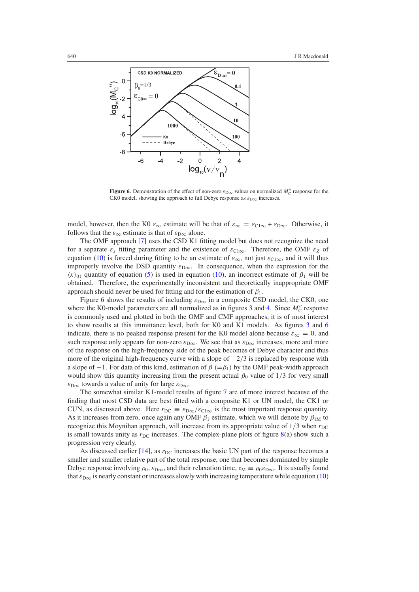<span id="page-11-0"></span>

**Figure 6.** Demonstration of the effect of non-zero  $\varepsilon_{\text{D}\infty}$  values on normalized  $M''_{\text{C}}$  response for the CK0 model, showing the approach to full Debye response as  $\varepsilon_{D\infty}$  increases.

model, however, then the K0  $\varepsilon_{\infty}$  estimate will be that of  $\varepsilon_{\infty} = \varepsilon_{C1\infty} + \varepsilon_{D\infty}$ . Otherwise, it follows that the  $\varepsilon_{\infty}$  estimate is that of  $\varepsilon_{\text{D}\infty}$  alone.

The OMF approach [\[7\]](#page-15-4) uses the CSD K1 fitting model but does not recognize the need for a separate  $\varepsilon_x$  fitting parameter and the existence of  $\varepsilon_{C1\infty}$ . Therefore, the OMF  $\varepsilon_z$  of equation [\(10\)](#page-10-1) is forced during fitting to be an estimate of  $\varepsilon_{\infty}$ , not just  $\varepsilon_{\text{Cl}\infty}$ , and it will thus improperly involve the DSD quantity  $\varepsilon_{D\infty}$ . In consequence, when the expression for the  $\langle x \rangle$ <sub>01</sub> quantity of equation [\(5\)](#page-3-3) is used in equation [\(10\)](#page-10-1), an incorrect estimate of  $\beta_1$  will be obtained. Therefore, the experimentally inconsistent and theoretically inappropriate OMF approach should never be used for fitting and for the estimation of  $\beta_1$ .

Figure [6](#page-11-0) shows the results of including  $\varepsilon_{D\infty}$  in a composite CSD model, the CK0, one where the K0-model parameters are all normalized as in figures  $3$  and  $4$ . Since  $M''_C$  response is commonly used and plotted in both the OMF and CMF approaches, it is of most interest to show results at this immittance level, both for K0 and K1 models. As figures [3](#page-6-1) and [6](#page-11-0) indicate, there is no peaked response present for the K0 model alone because  $\varepsilon_{\infty} = 0$ , and such response only appears for non-zero  $\varepsilon_{D\infty}$ . We see that as  $\varepsilon_{D\infty}$  increases, more and more of the response on the high-frequency side of the peak becomes of Debye character and thus more of the original high-frequency curve with a slope of  $-2/3$  is replaced by response with a slope of −1. For data of this kind, estimation of  $\beta$  (= $\beta$ <sub>1</sub>) by the OMF peak-width approach would show this quantity increasing from the present actual  $\beta_0$  value of  $1/3$  for very small  $\varepsilon_{\text{D}\infty}$  towards a value of unity for large  $\varepsilon_{\text{D}\infty}$ .

The somewhat similar K1-model results of figure [7](#page-12-0) are of more interest because of the finding that most CSD data are best fitted with a composite K1 or UN model, the CK1 or CUN, as discussed above. Here  $r_{DC} \equiv \varepsilon_{D\infty}/\varepsilon_{C1\infty}$  is the most important response quantity. As it increases from zero, once again any OMF  $\beta_1$  estimate, which we will denote by  $\beta_{1M}$  to recognize this Moynihan approach, will increase from its appropriate value of  $1/3$  when  $r_{DC}$ is small towards unity as  $r_{DC}$  increases. The complex-plane plots of figure  $8(a)$  $8(a)$  show such a progression very clearly.

As discussed earlier [\[14\]](#page-15-9), as  $r_{\text{DC}}$  increases the basic UN part of the response becomes a smaller and smaller relative part of the total response, one that becomes dominated by simple Debye response involving  $\rho_0$ ,  $\varepsilon_{D\infty}$ , and their relaxation time,  $\tau_M \equiv \rho_0 \varepsilon_{D\infty}$ . It is usually found that  $\varepsilon_{\text{D}\infty}$  is nearly constant or increases slowly with increasing temperature while equation [\(10\)](#page-10-1)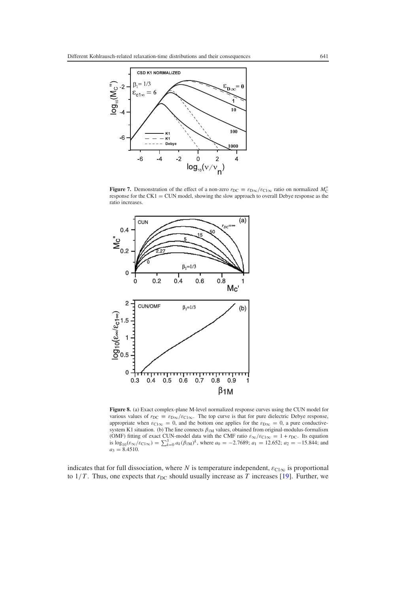<span id="page-12-0"></span>

<span id="page-12-1"></span>**Figure 7.** Demonstration of the effect of a non-zero  $r_{DC} \equiv \varepsilon_{D\infty}/\varepsilon_{C1\infty}$  ratio on normalized  $M''_C$ response for the CK1 = CUN model, showing the slow approach to overall Debye response as the ratio increases.



**Figure 8.** (a) Exact complex-plane M-level normalized response curves using the CUN model for various values of  $r_{DC} \equiv \varepsilon_{D\infty}/\varepsilon_{C1\infty}$ . The top curve is that for pure dielectric Debye response, appropriate when  $\varepsilon_{C1\infty} = 0$ , and the bottom one applies for the  $\varepsilon_{D\infty} = 0$ , a pure conductive-<br>system K1 situation. (b) The line connects  $\beta_{1M}$  values, obtained from original-modulus-formalism system K1 situation. (b) The line connects  $\beta_{1M}$  values, obtained from original-modulus-formalism (OMF) fitting of exact CUN-model data with the CMF ratio  $\varepsilon_{\infty}/\varepsilon_{C1\infty} = 1 + r_{DC}$ . Its equation is  $\log_{10}(\varepsilon_{\infty}/\varepsilon_{C1\infty}) = \sum_{k=0}^{3} a_k (\beta_{1M})^k$ , where  $a_0 = -2.7689$ ;  $a_1 = 12.652$ ;  $a_2 = -15.844$ ; and  $a_3 = 8.4510.$ 

indicates that for full dissociation, where *N* is temperature independent,  $\varepsilon_{C1\infty}$  is proportional to  $1/T$ . Thus, one expects that  $r_{DC}$  should usually increase as *T* increases [\[19\]](#page-15-15). Further, we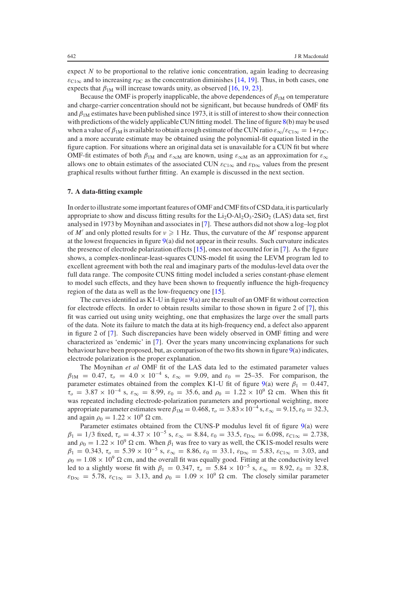expect *N* to be proportional to the relative ionic concentration, again leading to decreasing  $\varepsilon_{C1\infty}$  and to increasing  $r_{DC}$  as the concentration diminishes [\[14,](#page-15-9) [19\]](#page-15-15). Thus, in both cases, one expects that  $\beta_{1M}$  will increase towards unity, as observed [\[16,](#page-15-11) [19,](#page-15-15) [23\]](#page-15-19).

Because the OMF is properly inapplicable, the above dependences of  $\beta_{1M}$  on temperature and charge-carrier concentration should not be significant, but because hundreds of OMF fits and  $\beta_{1M}$  estimates have been published since 1973, it is still of interest to show their connection with predictions of the widely applicable CUN fitting model. The line of figure [8\(](#page-12-1)b) may be used when a value of  $\beta_{1M}$  is available to obtain a rough estimate of the CUN ratio  $\varepsilon_{\infty}/\varepsilon_{C1\infty} = 1 + r_{DC}$ , and a more accurate estimate may be obtained using the polynomial-fit equation listed in the figure caption. For situations where an original data set is unavailable for a CUN fit but where OMF-fit estimates of both  $\beta_{1M}$  and  $\varepsilon_{\infty M}$  are known, using  $\varepsilon_{\infty M}$  as an approximation for  $\varepsilon_{\infty}$ allows one to obtain estimates of the associated CUN  $\varepsilon_{\text{Cl}\infty}$  and  $\varepsilon_{\text{D}\infty}$  values from the present graphical results without further fitting. An example is discussed in the next section.

# <span id="page-13-0"></span>**7. A data-fitting example**

In order to illustrate some important features of OMF and CMF fits of CSD data,it is particularly appropriate to show and discuss fitting results for the  $Li_2O·Al_2O_3·2SiO_2$  (LAS) data set, first analysed in 1973 by Moynihan and associates in [\[7\]](#page-15-4). These authors did not show a log–log plot of  $M'$  and only plotted results for  $v \ge 1$  Hz. Thus, the curvature of the  $M'$  response apparent at the lowest frequencies in figure  $9(a)$  $9(a)$  did not appear in their results. Such curvature indicates the presence of electrode polarization effects [\[15\]](#page-15-10), ones not accounted for in [\[7\]](#page-15-4). As the figure shows, a complex-nonlinear-least-squares CUNS-model fit using the LEVM program led to excellent agreement with both the real and imaginary parts of the modulus-level data over the full data range. The composite CUNS fitting model included a series constant-phase element to model such effects, and they have been shown to frequently influence the high-frequency region of the data as well as the low-frequency one [\[15\]](#page-15-10).

The curves identified as K1-U in figure [9\(](#page-14-0)a) are the result of an OMF fit without correction for electrode effects. In order to obtain results similar to those shown in figure 2 of [\[7\]](#page-15-4), this fit was carried out using unity weighting, one that emphasizes the large over the small parts of the data. Note its failure to match the data at its high-frequency end, a defect also apparent in figure 2 of [\[7\]](#page-15-4). Such discrepancies have been widely observed in OMF fitting and were characterized as 'endemic' in [\[7\]](#page-15-4). Over the years many unconvincing explanations for such behaviour have been proposed, but, as comparison of the two fits shown in figure [9\(](#page-14-0)a) indicates, electrode polarization is the proper explanation.

The Moynihan *et al* OMF fit of the LAS data led to the estimated parameter values  $β_{1M} = 0.47, τ<sub>o</sub> = 4.0 × 10<sup>-4</sup> s, ε<sub>∞</sub> = 9.09, and ε<sub>0</sub> = 25–35. For comparison, the$ parameter estimates obtained from the complex K1-U fit of figure [9\(](#page-14-0)a) were  $\beta_1 = 0.447$ ,  $\tau_o = 3.87 \times 10^{-4}$  s,  $\varepsilon_{\infty} = 8.99$ ,  $\varepsilon_0 = 35.6$ , and  $\rho_0 = 1.22 \times 10^9$  Ω cm. When this fit was repeated including electrode-polarization parameters and proportional weighting, more appropriate parameter estimates were  $\beta_{1M} = 0.468$ ,  $\tau_o = 3.83 \times 10^{-4}$  s,  $\varepsilon_{\infty} = 9.15$ ,  $\varepsilon_0 = 32.3$ , and again  $\rho_0 = 1.22 \times 10^9$  Ω cm.

Parameter estimates obtained from the CUNS-P modulus level fit of figure [9\(](#page-14-0)a) were  $\beta_1 = 1/3$  fixed,  $\tau_o = 4.37 \times 10^{-5}$  s,  $\varepsilon_{\infty} = 8.84$ ,  $\varepsilon_0 = 33.5$ ,  $\varepsilon_{\text{D}\infty} = 6.098$ ,  $\varepsilon_{\text{C1}\infty} = 2.738$ , and  $\rho_0 = 1.22 \times 10^9 \Omega$  cm. When  $\beta_1$  was free to vary as well, the CK1S-model results were  $\beta_1 = 0.343$ ,  $\tau_o = 5.39 \times 10^{-5}$  s,  $\varepsilon_{\infty} = 8.86$ ,  $\varepsilon_0 = 33.1$ ,  $\varepsilon_{\text{D}\infty} = 5.83$ ,  $\varepsilon_{\text{C1}\infty} = 3.03$ , and  $\rho_0 = 1.08 \times 10^9$   $\Omega$  cm, and the overall fit was equally good. Fitting at the conductivity level led to a slightly worse fit with  $\beta_1 = 0.347$ ,  $\tau_o = 5.84 \times 10^{-5}$  s,  $\varepsilon_{\infty} = 8.92$ ,  $\varepsilon_0 = 32.8$ ,  $\varepsilon_{\text{D}\infty} = 5.78$ ,  $\varepsilon_{\text{Cl}\infty} = 3.13$ , and  $\rho_0 = 1.09 \times 10^9$   $\Omega$  cm. The closely similar parameter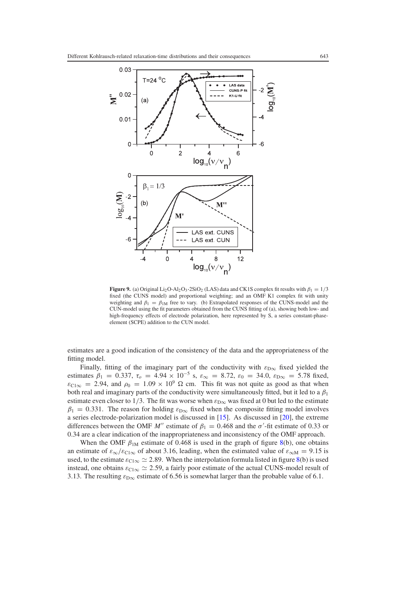<span id="page-14-0"></span>

**Figure 9.** (a) Original Li<sub>2</sub>O·Al<sub>2</sub>O<sub>3</sub>·2SiO<sub>2</sub> (LAS) data and CK1S complex fit results with  $\beta_1 = 1/3$ fixed (the CUNS model) and proportional weighting; and an OMF K1 complex fit with unity weighting and  $\beta_1 = \beta_{1M}$  free to vary. (b) Extrapolated responses of the CUNS-model and the CUN-model using the fit parameters obtained from the CUNS fitting of (a), showing both low- and high-frequency effects of electrode polarization, here represented by S, a series constant-phaseelement (SCPE) addition to the CUN model.

estimates are a good indication of the consistency of the data and the appropriateness of the fitting model.

Finally, fitting of the imaginary part of the conductivity with  $\varepsilon_{D\infty}$  fixed yielded the estimates  $\beta_1 = 0.337$ ,  $\tau_o = 4.94 \times 10^{-5}$  s,  $\varepsilon_{\infty} = 8.72$ ,  $\varepsilon_0 = 34.0$ ,  $\varepsilon_{\infty} = 5.78$  fixed,  $\varepsilon_{C1\infty} = 2.94$ , and  $\rho_0 = 1.09 \times 10^9$   $\Omega$  cm. This fit was not quite as good as that when both real and imaginary parts of the conductivity were simultaneously fitted, but it led to a  $\beta_1$ estimate even closer to 1/3. The fit was worse when  $\varepsilon_{D\infty}$  was fixed at 0 but led to the estimate  $\beta_1 = 0.331$ . The reason for holding  $\varepsilon_{D\infty}$  fixed when the composite fitting model involves a series electrode-polarization model is discussed in [\[15\]](#page-15-10). As discussed in [\[20\]](#page-15-16), the extreme differences between the OMF  $M''$  estimate of  $\beta_1 = 0.468$  and the  $\sigma'$ -fit estimate of 0.33 or 0.34 are a clear indication of the inappropriateness and inconsistency of the OMF approach.

When the OMF  $\beta_{1M}$  estimate of 0.468 is used in the graph of figure [8\(](#page-12-1)b), one obtains an estimate of  $\varepsilon_{\infty}/\varepsilon_{\text{Cl}\infty}$  of about 3.16, leading, when the estimated value of  $\varepsilon_{\infty M} = 9.15$  is used, to the estimate  $\varepsilon_{\text{Cl}\,\infty} \simeq 2.89$ . When the interpolation formula listed in figure [8\(](#page-12-1)b) is used instead, one obtains  $\varepsilon_{\text{Cl}\infty} \simeq 2.59$ , a fairly poor estimate of the actual CUNS-model result of 3.13. The resulting  $\varepsilon_{\text{D}\infty}$  estimate of 6.56 is somewhat larger than the probable value of 6.1.